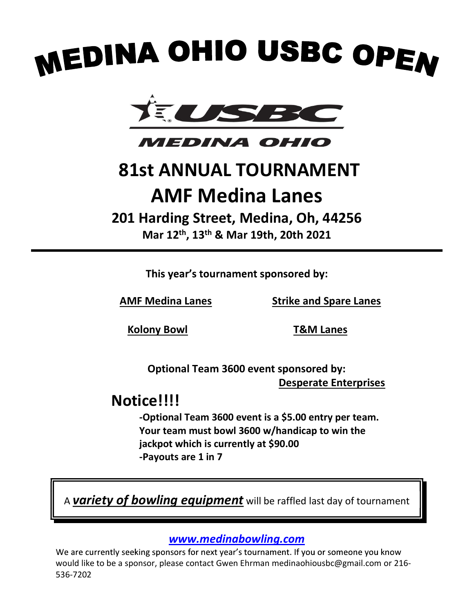# **MEDINA OHIO USBC OPEN<br>
TELESSEE COPEN<br>
MEDINA OHIO<br>
81st ANNUAL TOURNAMENT<br>
AMF Medina Lanes<br>
201 Harding Street, Medina, Oh, 44256<br>
Mar 12<sup>th</sup>, 13<sup>th</sup> & Mar 19th, 20th 2021**





# AMF Medina Lanes **A OHIO USBC OPEN<br>
ELITED THE OHIO**<br>
STANNUAL TOURNAMENT<br>
AMF Medina Lanes<br>
Harding Street, Medina, Oh, 44256<br>
Mar 12<sup>th</sup>, 13<sup>th</sup> & Mar 19th, 20th 2021<br>
This year's tournament sponsored by:

# 201 Harding Street, Medina, Oh, 44256

AMF Medina Lanes Strike and Spare Lanes

Kolony Bowl T&M Lanes

 Optional Team 3600 event sponsored by: Desperate Enterprises

# Notice!!!!

-Optional Team 3600 event is a \$5.00 entry per team. Your team must bowl 3600 w/handicap to win the jackpot which is currently at \$90.00 -Payouts are 1 in 7 Would like to be a sponsor for next year's burstone by:<br> **Notice!!!!**<br>
-Optional Team 3600 event is a \$5.00 entry per team.<br>
Your team must bowl 3600 w/handicap to win the<br>
jackpot which is currently at \$90.00<br>
-Payouts ar

A **variety of bowling equipment** will be raffled last day of tournament

## www.medinabowling.com

536-7202